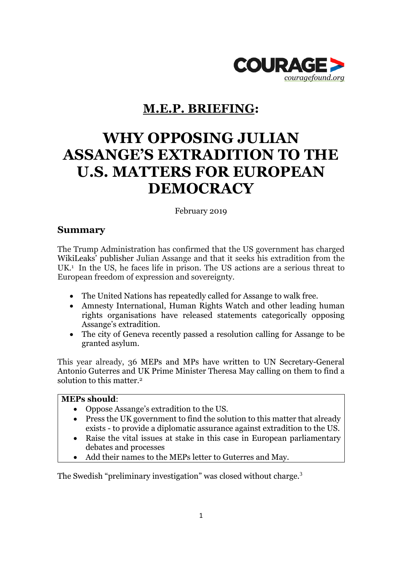

# **M.E.P. BRIEFING:**

# **WHY OPPOSING JULIAN ASSANGE'S EXTRADITION TO THE U.S. MATTERS FOR EUROPEAN DEMOCRACY**

February 2019

### **Summary**

The Trump Administration has confirmed that the US government has charged WikiLeaks' publisher Julian Assange and that it seeks his extradition from the UK.<sup>1</sup> In the US, he faces life in prison. The US actions are a serious threat to European freedom of expression and sovereignty.

- The United Nations has repeatedly called for Assange to walk free.
- Amnesty International, Human Rights Watch and other leading human rights organisations have released statements categorically opposing Assange's extradition.
- The city of Geneva recently passed a resolution calling for Assange to be granted asylum.

This year already, 36 MEPs and MPs have written to UN Secretary-General Antonio Guterres and UK Prime Minister Theresa May calling on them to find a solution to this matter.<sup>2</sup>

#### **MEPs should**:

- Oppose Assange's extradition to the US.
- Press the UK government to find the solution to this matter that already exists - to provide a diplomatic assurance against extradition to the US.
- Raise the vital issues at stake in this case in European parliamentary debates and processes
- Add their names to the MEPs letter to Guterres and May.

The Swedish "preliminary investigation" was closed without charge.<sup>3</sup>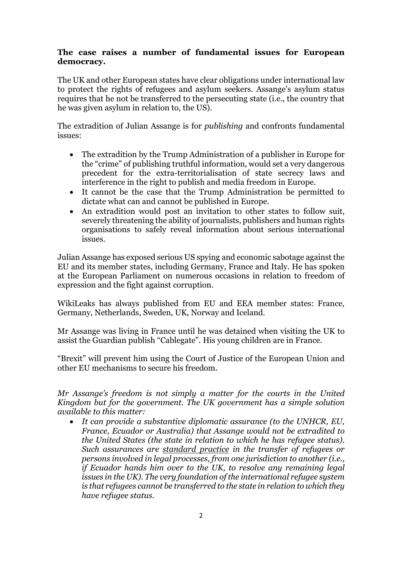#### **The case raises a number of fundamental issues for European democracy.**

The UK and other European states have clear obligations under international law to protect the rights of refugees and asylum seekers. Assange's asylum status requires that he not be transferred to the persecuting state (i.e., the country that he was given asylum in relation to, the US).

The extradition of Julian Assange is for *publishing* and confronts fundamental issues:

- The extradition by the Trump Administration of a publisher in Europe for the "crime" of publishing truthful information, would set a very dangerous precedent for the extra-territorialisation of state secrecy laws and interference in the right to publish and media freedom in Europe.
- It cannot be the case that the Trump Administration be permitted to dictate what can and cannot be published in Europe.
- An extradition would post an invitation to other states to follow suit, severely threatening the ability of journalists, publishers and human rights organisations to safely reveal information about serious international issues.

Julian Assange has exposed serious US spying and economic sabotage against the EU and its member states, including Germany, France and Italy. He has spoken at the European Parliament on numerous occasions in relation to freedom of expression and the fight against corruption.

WikiLeaks has always published from EU and EEA member states: France, Germany, Netherlands, Sweden, UK, Norway and Iceland.

Mr Assange was living in France until he was detained when visiting the UK to assist the Guardian publish "Cablegate". His young children are in France.

"Brexit" will prevent him using the Court of Justice of the European Union and other EU mechanisms to secure his freedom.

*Mr Assange's freedom is not simply a matter for the courts in the United Kingdom but for the government. The UK government has a simple solution available to this matter:*

 *It can provide a substantive diplomatic assurance (to the UNHCR, EU, France, Ecuador or Australia) that Assange would not be extradited to the United States (the state in relation to which he has refugee status). Such assurances are standard practice in the transfer of refugees or persons involved in legal processes, from one jurisdiction to another (i.e., if Ecuador hands him over to the UK, to resolve any remaining legal issues in the UK). The very foundation of the international refugee system is that refugees cannot be transferred to the state in relation to which they have refugee status.*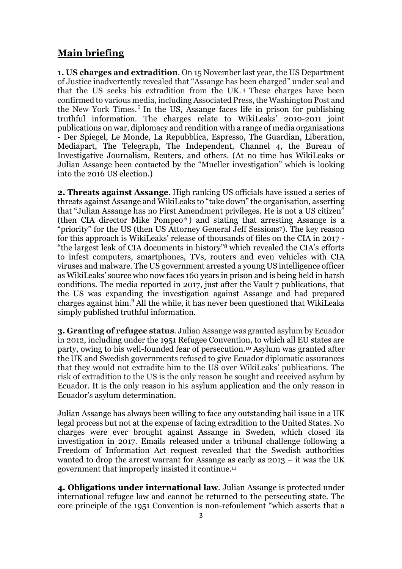## **Main briefing**

**1. US charges and extradition**. On 15 November last year, the US Department of Justice inadvertently revealed that "Assange has been charged" under seal and that the US seeks his extradition from the UK. <sup>4</sup> These charges have been confirmed to various media, including Associated Press, the Washington Post and the New York Times.<sup>5</sup> In the US, Assange faces life in prison for publishing truthful information. The charges relate to WikiLeaks' 2010-2011 joint publications on war, diplomacy and rendition with a range of media organisations - Der Spiegel, Le Monde, La Repubblica, Espresso, The Guardian, Liberation, Mediapart, The Telegraph, The Independent, Channel 4, the Bureau of Investigative Journalism, Reuters, and others. (At no time has WikiLeaks or Julian Assange been contacted by the "Mueller investigation" which is looking into the 2016 US election.)

**2. Threats against Assange**. High ranking US officials have issued a series of threats against Assange and WikiLeaks to "take down" the organisation, asserting that "Julian Assange has no First Amendment privileges. He is not a US citizen" (then CIA director Mike Pompeo<sup>6</sup>) and stating that arresting Assange is a "priority" for the US (then US Attorney General Jeff Sessions7). The key reason for this approach is WikiLeaks' release of thousands of files on the CIA in 2017 - "the largest leak of CIA documents in history"<sup>8</sup> which revealed the CIA's efforts to infest computers, smartphones, TVs, routers and even vehicles with CIA viruses and malware. The US government arrested a young US intelligence officer as WikiLeaks' source who now faces 160 years in prison and is being held in harsh conditions. The media reported in 2017, just after the Vault 7 publications, that the US was expanding the investigation against Assange and had prepared charges against him.<sup>9</sup> All the while, it has never been questioned that WikiLeaks simply published truthful information.

**3. Granting of refugee status**. Julian Assange was granted asylum by Ecuador in 2012, including under the 1951 Refugee Convention, to which all EU states are party, owing to his well-founded fear of persecution.<sup>10</sup> Asylum was granted after the UK and Swedish governments refused to give Ecuador diplomatic assurances that they would not extradite him to the US over WikiLeaks' publications. The risk of extradition to the US is the only reason he sought and received asylum by Ecuador. It is the only reason in his asylum application and the only reason in Ecuador's asylum determination.

Julian Assange has always been willing to face any outstanding bail issue in a UK legal process but not at the expense of facing extradition to the United States. No charges were ever brought against Assange in Sweden, which closed its investigation in 2017. Emails released under a tribunal challenge following a Freedom of Information Act request revealed that the Swedish authorities wanted to drop the arrest warrant for Assange as early as 2013 – it was the UK government that improperly insisted it continue.<sup>11</sup>

**4. Obligations under international law**. Julian Assange is protected under international refugee law and cannot be returned to the persecuting state. The core principle of the 1951 Convention is non-refoulement "which asserts that a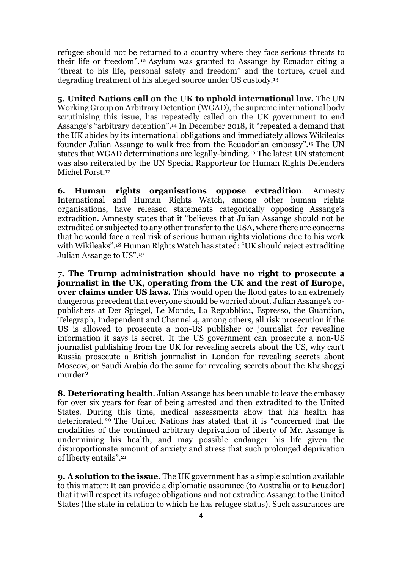refugee should not be returned to a country where they face serious threats to their life or freedom". <sup>12</sup> Asylum was granted to Assange by Ecuador citing a "threat to his life, personal safety and freedom" and the torture, cruel and degrading treatment of his alleged source under US custody.<sup>13</sup>

**5. United Nations call on the UK to uphold international law.** The UN Working Group on Arbitrary Detention (WGAD), the supreme international body scrutinising this issue, has repeatedly called on the UK government to end Assange's "arbitrary detention". <sup>14</sup> In December 2018, it "repeated a demand that the UK abides by its international obligations and immediately allows Wikileaks founder Julian Assange to walk free from the Ecuadorian embassy". <sup>15</sup> The UN states that WGAD determinations are legally-binding.<sup>16</sup> The latest UN statement was also reiterated by the UN Special Rapporteur for Human Rights Defenders Michel Forst.<sup>17</sup>

**6. Human rights organisations oppose extradition**. Amnesty International and Human Rights Watch, among other human rights organisations, have released statements categorically opposing Assange's extradition. Amnesty states that it "believes that Julian Assange should not be extradited or subjected to any other transfer to the USA, where there are concerns that he would face a real risk of serious human rights violations due to his work with Wikileaks".<sup>18</sup> Human Rights Watch has stated: "UK should reject extraditing Julian Assange to US".<sup>19</sup>

**7. The Trump administration should have no right to prosecute a journalist in the UK, operating from the UK and the rest of Europe, over claims under US laws.** This would open the flood gates to an extremely dangerous precedent that everyone should be worried about. Julian Assange's copublishers at Der Spiegel, Le Monde, La Repubblica, Espresso, the Guardian, Telegraph, Independent and Channel 4, among others, all risk prosecution if the US is allowed to prosecute a non-US publisher or journalist for revealing information it says is secret. If the US government can prosecute a non-US journalist publishing from the UK for revealing secrets about the US, why can't Russia prosecute a British journalist in London for revealing secrets about Moscow, or Saudi Arabia do the same for revealing secrets about the Khashoggi murder?

**8. Deteriorating health**. Julian Assange has been unable to leave the embassy for over six years for fear of being arrested and then extradited to the United States. During this time, medical assessments show that his health has deteriorated. <sup>20</sup> The United Nations has stated that it is "concerned that the modalities of the continued arbitrary deprivation of liberty of Mr. Assange is undermining his health, and may possible endanger his life given the disproportionate amount of anxiety and stress that such prolonged deprivation of liberty entails". 21

**9. A solution to the issue.** The UK government has a simple solution available to this matter: It can provide a diplomatic assurance (to Australia or to Ecuador) that it will respect its refugee obligations and not extradite Assange to the United States (the state in relation to which he has refugee status). Such assurances are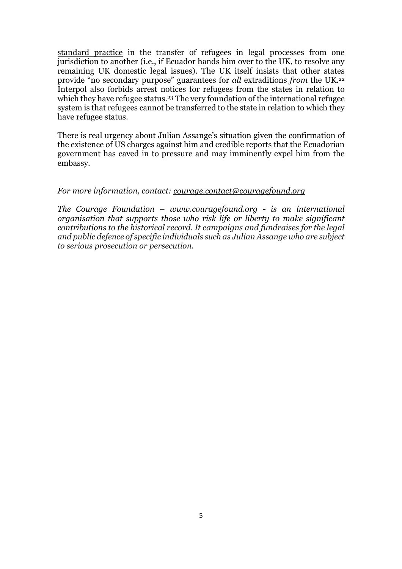standard practice in the transfer of refugees in legal processes from one jurisdiction to another (i.e., if Ecuador hands him over to the UK, to resolve any remaining UK domestic legal issues). The UK itself insists that other states provide "no secondary purpose" guarantees for *all* extraditions *from* the UK. 22 Interpol also forbids arrest notices for refugees from the states in relation to which they have refugee status.<sup>23</sup> The very foundation of the international refugee system is that refugees cannot be transferred to the state in relation to which they have refugee status.

There is real urgency about Julian Assange's situation given the confirmation of the existence of US charges against him and credible reports that the Ecuadorian government has caved in to pressure and may imminently expel him from the embassy.

#### *For more information, contact: [courage.contact@couragefound.org](mailto:courage.contact@couragefound.org)*

*The Courage Foundation – [www.couragefound.org](http://www.couragefound.org/) - is an international organisation that supports those who risk life or liberty to make significant contributions to the historical record. It campaigns and fundraises for the legal and public defence of specific individuals such as Julian Assange who are subject to serious prosecution or persecution.*